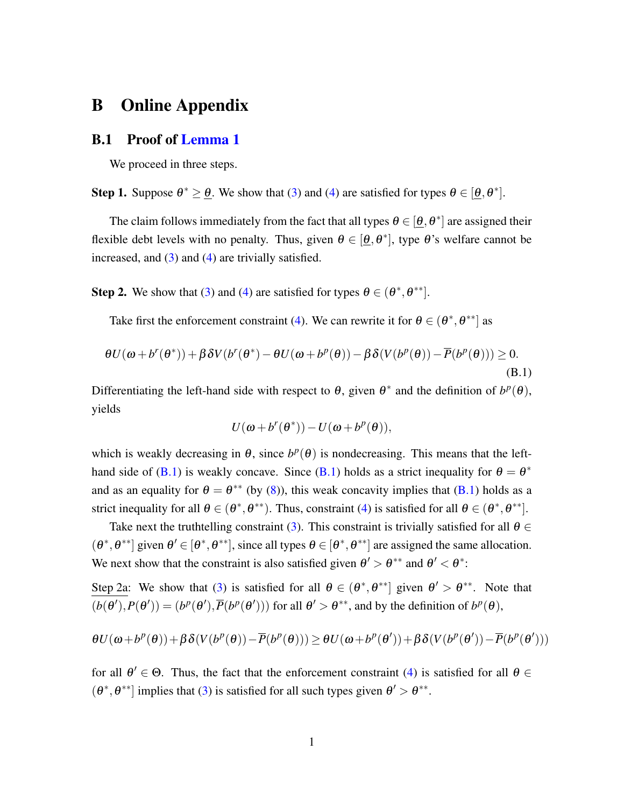# B Online Appendix

#### B.1 Proof of Lemma 1

We proceed in three steps.

**Step 1.** Suppose  $\theta^* > \theta$ . We show that (3) and (4) are satisfied for types  $\theta \in [\theta, \theta^*]$ .

The claim follows immediately from the fact that all types  $\theta \in [\theta, \theta^*]$  are assigned their flexible debt levels with no penalty. Thus, given  $\theta \in [\theta, \theta^*]$ , type  $\theta$ 's welfare cannot be increased, and  $(3)$  and  $(4)$  are trivially satisfied.

**Step 2.** We show that (3) and (4) are satisfied for types  $\theta \in (\theta^*, \theta^{**})$ .

Take first the enforcement constraint (4). We can rewrite it for  $\theta \in (\theta^*, \theta^{**}]$  as

$$
\theta U(\omega + b^r(\theta^*)) + \beta \delta V(b^r(\theta^*) - \theta U(\omega + b^p(\theta)) - \beta \delta (V(b^p(\theta)) - \overline{P}(b^p(\theta))) \ge 0.
$$
\n(B.1)

Differentiating the left-hand side with respect to  $\theta$ , given  $\theta^*$  and the definition of  $b^p(\theta)$ , yields

$$
U(\omega + b^r(\theta^*)) - U(\omega + b^p(\theta)),
$$

which is weakly decreasing in  $\theta$ , since  $b^p(\theta)$  is nondecreasing. This means that the lefthand side of (B.1) is weakly concave. Since (B.1) holds as a strict inequality for  $\theta = \theta^*$ and as an equality for  $\theta = \theta^{**}$  (by (8)), this weak concavity implies that (B.1) holds as a strict inequality for all  $\theta \in (\theta^*, \theta^{**})$ . Thus, constraint (4) is satisfied for all  $\theta \in (\theta^*, \theta^{**})$ .

Take next the truthtelling constraint (3). This constraint is trivially satisfied for all  $\theta \in$  $(\theta^*, \theta^{**}]$  given  $\theta' \in [\theta^*, \theta^{**}]$ , since all types  $\theta \in [\theta^*, \theta^{**}]$  are assigned the same allocation. We next show that the constraint is also satisfied given  $\theta' > \theta^{**}$  and  $\theta' < \theta^*$ .

Step 2a: We show that (3) is satisfied for all  $\theta \in (\theta^*, \theta^{**}]$  given  $\theta' > \theta^{**}$ . Note that  $(b(\theta'), P(\theta')) = (b^p(\theta'), \overline{P}(b^p(\theta')))$  for all  $\theta' > \theta^{**}$ , and by the definition of  $b^p(\theta)$ ,

$$
\theta U(\omega + b^p(\theta)) + \beta \delta (V(b^p(\theta)) - \overline{P}(b^p(\theta))) \geq \theta U(\omega + b^p(\theta')) + \beta \delta (V(b^p(\theta')) - \overline{P}(b^p(\theta')))
$$

for all  $\theta' \in \Theta$ . Thus, the fact that the enforcement constraint (4) is satisfied for all  $\theta \in$  $(\theta^*, \theta^{**})$  implies that (3) is satisfied for all such types given  $\theta' > \theta^{**}$ .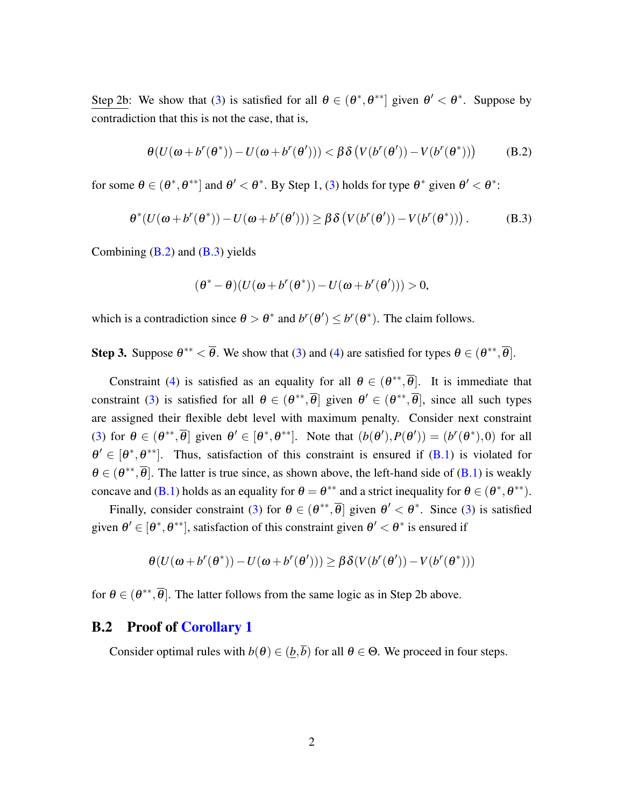Step 2b: We show that (3) is satisfied for all  $\theta \in (\theta^*, \theta^{**}]$  given  $\theta' < \theta^*$ . Suppose by contradiction that this is not the case, that is,

$$
\theta(U(\omega + b^r(\theta^*)) - U(\omega + b^r(\theta'))) < \beta \delta\left(V(b^r(\theta')) - V(b^r(\theta^*))\right)
$$
 (B.2)

for some  $\theta \in (\theta^*, \theta^{**}]$  and  $\theta' < \theta^*$ . By Step 1, (3) holds for type  $\theta^*$  given  $\theta' < \theta^*$ :

$$
\theta^*(U(\omega+b^r(\theta^*)) - U(\omega+b^r(\theta'))) \geq \beta \delta \left( V(b^r(\theta')) - V(b^r(\theta^*)) \right). \tag{B.3}
$$

Combining  $(B.2)$  and  $(B.3)$  yields

$$
(\boldsymbol{\theta}^*-\boldsymbol{\theta})(U(\boldsymbol{\omega}+b^r(\boldsymbol{\theta}^*))-U(\boldsymbol{\omega}+b^r(\boldsymbol{\theta}')))>0,
$$

which is a contradiction since  $\theta > \theta^*$  and  $b^r(\theta') \leq b^r(\theta^*)$ . The claim follows.

**Step 3.** Suppose  $\theta^{**} < \overline{\theta}$ . We show that (3) and (4) are satisfied for types  $\theta \in (\theta^{**}, \overline{\theta}]$ .

Constraint (4) is satisfied as an equality for all  $\theta \in (\theta^{**}, \overline{\theta})$ . It is immediate that constraint (3) is satisfied for all  $\theta \in (\theta^{**}, \overline{\theta}]$  given  $\theta' \in (\theta^{**}, \overline{\theta}]$ , since all such types are assigned their flexible debt level with maximum penalty. Consider next constraint (3) for  $\theta \in (\theta^{**}, \overline{\theta}]$  given  $\theta' \in [\theta^*, \theta^{**}]$ . Note that  $(b(\theta'), P(\theta')) = (b^r(\theta^*), 0)$  for all  $\theta' \in [\theta^*, \theta^{**}]$ . Thus, satisfaction of this constraint is ensured if (B.1) is violated for  $\theta \in (\theta^{**}, \overline{\theta})$ . The latter is true since, as shown above, the left-hand side of (B.1) is weakly concave and (B.1) holds as an equality for  $\theta = \theta^{**}$  and a strict inequality for  $\theta \in (\theta^*, \theta^{**})$ .

Finally, consider constraint (3) for  $\theta \in (\theta^{**}, \overline{\theta}]$  given  $\theta' < \theta^*$ . Since (3) is satisfied given  $\theta' \in [\theta^*, \theta^{**}]$ , satisfaction of this constraint given  $\theta' < \theta^*$  is ensured if

$$
\theta\big(U(\pmb\omega+b^r(\pmb\theta^*))-U(\pmb\omega+b^r(\pmb\theta'))\big)\geq\beta\,\delta\big(V(b^r(\pmb\theta'))-V(b^r(\pmb\theta^*))\big)
$$

for  $\theta \in (\theta^{**}, \overline{\theta})$ . The latter follows from the same logic as in Step 2b above.

### B.2 Proof of Corollary 1

Consider optimal rules with  $b(\theta) \in (\underline{b}, \overline{b})$  for all  $\theta \in \Theta$ . We proceed in four steps.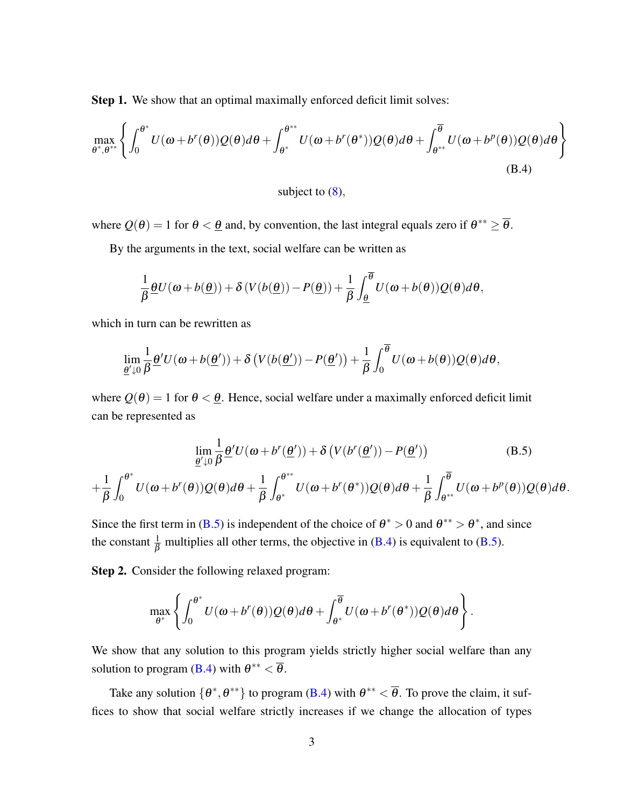Step 1. We show that an optimal maximally enforced deficit limit solves:

$$
\max_{\theta^*,\theta^{**}} \left\{ \int_0^{\theta^*} U(\omega + b^r(\theta))Q(\theta)d\theta + \int_{\theta^*}^{\theta^{**}} U(\omega + b^r(\theta^*))Q(\theta)d\theta + \int_{\theta^{**}}^{\overline{\theta}} U(\omega + b^p(\theta))Q(\theta)d\theta \right\}
$$
(B.4)

subject to (8)*,*

where  $Q(\theta) = 1$  for  $\theta < \underline{\theta}$  and, by convention, the last integral equals zero if  $\theta^{**} \geq \overline{\theta}$ .

By the arguments in the text, social welfare can be written as

$$
\frac{1}{\beta}\underline{\theta}U(\omega+b(\underline{\theta}))+\delta\left(V(b(\underline{\theta}))-P(\underline{\theta})\right)+\frac{1}{\beta}\int_{\underline{\theta}}^{\overline{\theta}}U(\omega+b(\theta))Q(\theta)d\theta,
$$

which in turn can be rewritten as

$$
\lim_{\underline{\theta}'\downarrow 0} \frac{1}{\beta} \underline{\theta}' U(\omega + b(\underline{\theta}')) + \delta \left( V(b(\underline{\theta}')) - P(\underline{\theta}') \right) + \frac{1}{\beta} \int_0^{\overline{\theta}} U(\omega + b(\theta)) Q(\theta) d\theta,
$$

where  $Q(\theta) = 1$  for  $\theta < \theta$ . Hence, social welfare under a maximally enforced deficit limit can be represented as

$$
\lim_{\underline{\theta}' \downarrow 0} \frac{1}{\beta} \underline{\theta}' U(\omega + b^r(\underline{\theta}')) + \delta \left( V(b^r(\underline{\theta}')) - P(\underline{\theta}') \right) \tag{B.5}
$$
\n
$$
+ \frac{1}{\beta} \int_0^{\theta^*} U(\omega + b^r(\theta)) Q(\theta) d\theta + \frac{1}{\beta} \int_{\theta^*}^{\theta^{**}} U(\omega + b^r(\theta^*)) Q(\theta) d\theta + \frac{1}{\beta} \int_{\theta^{**}}^{\overline{\theta}} U(\omega + b^p(\theta)) Q(\theta) d\theta.
$$

Since the first term in (B.5) is independent of the choice of  $\theta^* > 0$  and  $\theta^{**} > \theta^*$ , and since the constant  $\frac{1}{\beta}$  multiplies all other terms, the objective in (B.4) is equivalent to (B.5).

Step 2. Consider the following relaxed program:

$$
\max_{\theta^*}\left\{\int_0^{\theta^*}U(\omega+b^r(\theta))Q(\theta)d\theta+\int_{\theta^*}^{\overline{\theta}}U(\omega+b^r(\theta^*))Q(\theta)d\theta\right\}.
$$

We show that any solution to this program yields strictly higher social welfare than any solution to program (B.4) with  $\theta^{**} < \overline{\theta}$ .

Take any solution  $\{\theta^*, \theta^{**}\}\$  to program (B.4) with  $\theta^{**} < \overline{\theta}$ . To prove the claim, it suffices to show that social welfare strictly increases if we change the allocation of types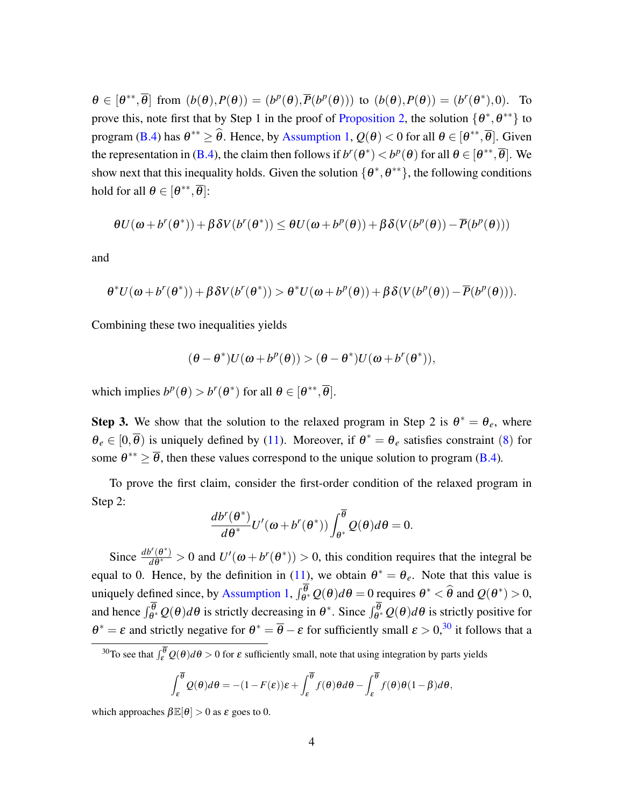$\theta \in [\theta^{**}, \overline{\theta}]$  from  $(b(\theta), P(\theta)) = (b^p(\theta), \overline{P}(b^p(\theta)))$  to  $(b(\theta), P(\theta)) = (b^r(\theta^*), 0)$ . To prove this, note first that by Step 1 in the proof of Proposition 2, the solution  $\{\theta^*, \theta^{**}\}$  to program (B.4) has  $\theta^{**} \ge \theta$ . Hence, by Assumption 1,  $Q(\theta) < 0$  for all  $\theta \in [\theta^{**}, \theta]$ . Given the representation in (B.4), the claim then follows if  $b^r(\theta^*) < b^p(\theta)$  for all  $\theta \in [\theta^{**}, \overline{\theta}]$ . We show next that this inequality holds. Given the solution  $\{\theta^*, \theta^{**}\}$ , the following conditions hold for all  $\theta \in [\theta^{**}, \overline{\theta}]$ :

$$
\theta U(\omega + b^r(\theta^*)) + \beta \delta V(b^r(\theta^*)) \leq \theta U(\omega + b^p(\theta)) + \beta \delta (V(b^p(\theta)) - \overline{P}(b^p(\theta)))
$$

and

$$
\theta^* U (\pmb{\omega} + b^r(\pmb{\theta}^*)) + \beta \delta V(b^r(\pmb{\theta}^*)) > \theta^* U (\pmb{\omega} + b^p(\pmb{\theta})) + \beta \delta (V(b^p(\pmb{\theta})) - \overline{P}(b^p(\pmb{\theta}))).
$$

Combining these two inequalities yields

$$
(\theta - \theta^*)U(\omega + b^p(\theta)) > (\theta - \theta^*)U(\omega + b^r(\theta^*)),
$$

which implies  $b^p(\theta) > b^r(\theta^*)$  for all  $\theta \in [\theta^{**}, \overline{\theta}].$ 

**Step 3.** We show that the solution to the relaxed program in Step 2 is  $\theta^* = \theta_e$ , where  $\theta_e \in [0,\overline{\theta})$  is uniquely defined by (11). Moreover, if  $\theta^* = \theta_e$  satisfies constraint (8) for some  $\theta^{**} \geq \overline{\theta}$ , then these values correspond to the unique solution to program (B.4)*.* 

To prove the first claim, consider the first-order condition of the relaxed program in Step 2:

$$
\frac{d b^r(\theta^*)}{d\theta^*}U'(\omega+b^r(\theta^*))\int_{\theta^*}^{\overline{\theta}}Q(\theta)d\theta=0.
$$

Since  $\frac{d b^r(\theta^*)}{d\theta^*} > 0$  and  $U'(\omega + b^r(\theta^*)) > 0$ , this condition requires that the integral be equal to 0. Hence, by the definition in (11), we obtain  $\theta^* = \theta_e$ . Note that this value is uniquely defined since, by Assumption 1,  $\int_{\theta^*}^{\theta} Q(\theta) d\theta = 0$  requires  $\theta^* < \hat{\theta}$  and  $Q(\theta^*) > 0$ , and hence  $\int_{\theta^*}^{\theta} Q(\theta) d\theta$  is strictly decreasing in  $\theta^*$ . Since  $\int_{\theta^*}^{\theta} Q(\theta) d\theta$  is strictly positive for  $\theta^* = \varepsilon$  and strictly negative for  $\theta^* = \overline{\theta} - \varepsilon$  for sufficiently small  $\varepsilon > 0$ ,<sup>30</sup> it follows that a

$$
\int_{\varepsilon}^{\overline{\theta}} \mathcal{Q}(\theta) d\theta = -(1 - F(\varepsilon))\varepsilon + \int_{\varepsilon}^{\overline{\theta}} f(\theta) \theta d\theta - \int_{\varepsilon}^{\overline{\theta}} f(\theta) \theta (1 - \beta) d\theta,
$$

which approaches  $\beta \mathbb{E}[\theta] > 0$  as  $\varepsilon$  goes to 0.

<sup>&</sup>lt;sup>30</sup>To see that  $\int_{\epsilon}^{\bar{\theta}} Q(\theta) d\theta > 0$  for  $\epsilon$  sufficiently small, note that using integration by parts yields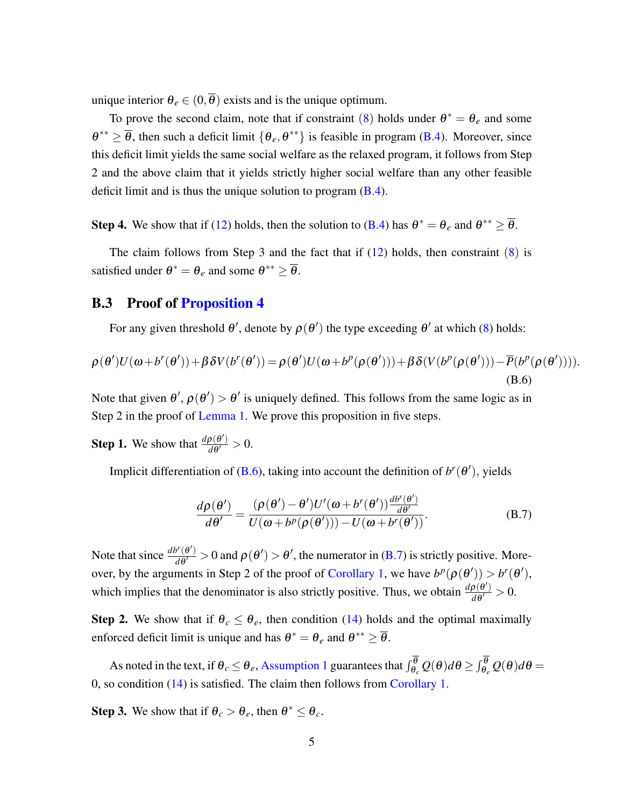unique interior  $\theta_e \in (0, \overline{\theta})$  exists and is the unique optimum.

To prove the second claim, note that if constraint (8) holds under  $\theta^* = \theta_e$  and some  $\theta^{**} \geq \overline{\theta}$ , then such a deficit limit  $\{\theta_e, \theta^{**}\}\$ is feasible in program (B.4). Moreover, since this deficit limit yields the same social welfare as the relaxed program, it follows from Step 2 and the above claim that it yields strictly higher social welfare than any other feasible deficit limit and is thus the unique solution to program (B.4).

**Step 4.** We show that if (12) holds, then the solution to (B.4) has  $\theta^* = \theta_e$  and  $\theta^{**} \ge \overline{\theta}$ .

The claim follows from Step 3 and the fact that if  $(12)$  holds, then constraint  $(8)$  is satisfied under  $\theta^* = \theta_e$  and some  $\theta^{**} > \overline{\theta}$ .

### B.3 Proof of Proposition 4

For any given threshold  $\theta'$ , denote by  $\rho(\theta')$  the type exceeding  $\theta'$  at which (8) holds:

$$
\rho(\theta')U(\omega+b^r(\theta'))+\beta\delta V(b^r(\theta'))=\rho(\theta')U(\omega+b^p(\rho(\theta')))+\beta\delta(V(b^p(\rho(\theta')))-\overline{P}(b^p(\rho(\theta')))).
$$
\n(B.6)

Note that given  $\theta'$ ,  $\rho(\theta') > \theta'$  is uniquely defined. This follows from the same logic as in Step 2 in the proof of Lemma 1. We prove this proposition in five steps.

**Step 1.** We show that  $\frac{d\rho(\theta')}{d\theta'} > 0$ .

Implicit differentiation of (B.6), taking into account the definition of  $b^r(\theta')$ , yields

$$
\frac{d\rho(\theta')}{d\theta'} = \frac{(\rho(\theta') - \theta')U'(\omega + b^r(\theta'))\frac{d b^r(\theta')}{d\theta'}}{U(\omega + b^p(\rho(\theta'))) - U(\omega + b^r(\theta'))}.
$$
\n(B.7)

Note that since  $\frac{d b^r(\theta')}{d\theta'} > 0$  and  $\rho(\theta') > \theta'$ , the numerator in (B.7) is strictly positive. Moreover, by the arguments in Step 2 of the proof of Corollary 1, we have  $b^p(\rho(\theta')) > b^r(\theta')$ , which implies that the denominator is also strictly positive. Thus, we obtain  $\frac{d\rho(\theta')}{d\theta'} > 0$ .

**Step 2.** We show that if  $\theta_c \leq \theta_e$ , then condition (14) holds and the optimal maximally enforced deficit limit is unique and has  $\theta^* = \theta_e$  and  $\theta^{**} \ge \overline{\theta}$ .

As noted in the text, if  $\theta_c \le \theta_e$ , Assumption 1 guarantees that  $\int_{\theta_c}^{\theta} Q(\theta) d\theta \ge \int_{\theta_e}^{\theta} Q(\theta) d\theta =$ 0, so condition (14) is satisfied. The claim then follows from Corollary 1.

**Step 3.** We show that if  $\theta_c > \theta_e$ , then  $\theta^* \leq \theta_c$ .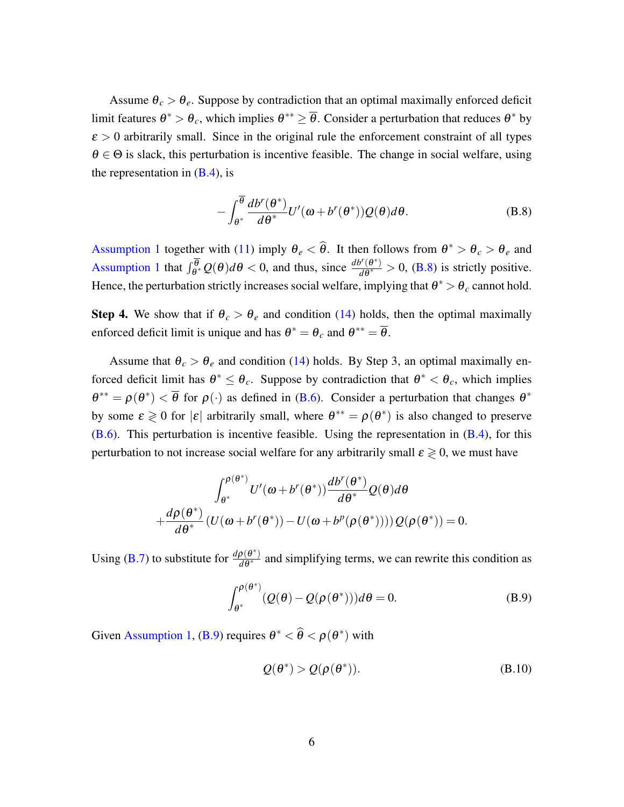Assume  $\theta_c > \theta_e$ . Suppose by contradiction that an optimal maximally enforced deficit limit features  $\theta^* > \theta_c$ , which implies  $\theta^{**} \geq \overline{\theta}$ . Consider a perturbation that reduces  $\theta^*$  by  $\epsilon > 0$  arbitrarily small. Since in the original rule the enforcement constraint of all types  $\theta \in \Theta$  is slack, this perturbation is incentive feasible. The change in social welfare, using the representation in  $(B.4)$ , is

$$
-\int_{\theta^*}^{\overline{\theta}} \frac{db^r(\theta^*)}{d\theta^*} U'(\omega + b^r(\theta^*))Q(\theta)d\theta.
$$
 (B.8)

Assumption 1 together with (11) imply  $\theta_e < \theta$ . It then follows from  $\theta^* > \theta_c > \theta_e$  and Assumption 1 that  $\int_{\theta^*}^{\overline{\theta}} Q(\theta) d\theta < 0$ , and thus, since  $\frac{d b^r(\theta^*)}{d\theta^*} > 0$ , (B.8) is strictly positive. Hence, the perturbation strictly increases social welfare, implying that  $\theta^* > \theta_c$  cannot hold.

**Step 4.** We show that if  $\theta_c > \theta_e$  and condition (14) holds, then the optimal maximally enforced deficit limit is unique and has  $\theta^* = \theta_c$  and  $\theta^{**} = \overline{\theta}$ .

Assume that  $\theta_c > \theta_e$  and condition (14) holds. By Step 3, an optimal maximally enforced deficit limit has  $\theta^* \leq \theta_c$ . Suppose by contradiction that  $\theta^* < \theta_c$ , which implies  $\theta^{**} = \rho(\theta^*) < \overline{\theta}$  for  $\rho(\cdot)$  as defined in (B.6). Consider a perturbation that changes  $\theta^*$ by some  $\varepsilon \geq 0$  for  $|\varepsilon|$  arbitrarily small, where  $\theta^{**} = \rho(\theta^*)$  is also changed to preserve  $(B.6)$ . This perturbation is incentive feasible. Using the representation in  $(B.4)$ , for this perturbation to not increase social welfare for any arbitrarily small  $\varepsilon \geq 0$ , we must have

$$
\int_{\theta^*}^{\rho(\theta^*)} U'(\omega + b^r(\theta^*)) \frac{db^r(\theta^*)}{d\theta^*} Q(\theta) d\theta + \frac{d\rho(\theta^*)}{d\theta^*} (U(\omega + b^r(\theta^*)) - U(\omega + b^p(\rho(\theta^*)))) Q(\rho(\theta^*)) = 0.
$$

Using (B.7) to substitute for  $\frac{d\rho(\theta^*)}{d\theta^*}$  and simplifying terms, we can rewrite this condition as

$$
\int_{\theta^*}^{\rho(\theta^*)} (Q(\theta) - Q(\rho(\theta^*))) d\theta = 0.
$$
 (B.9)

Given Assumption 1, (B.9) requires  $\theta^* < \theta < \rho(\theta^*)$  with

$$
Q(\theta^*) > Q(\rho(\theta^*)).
$$
 (B.10)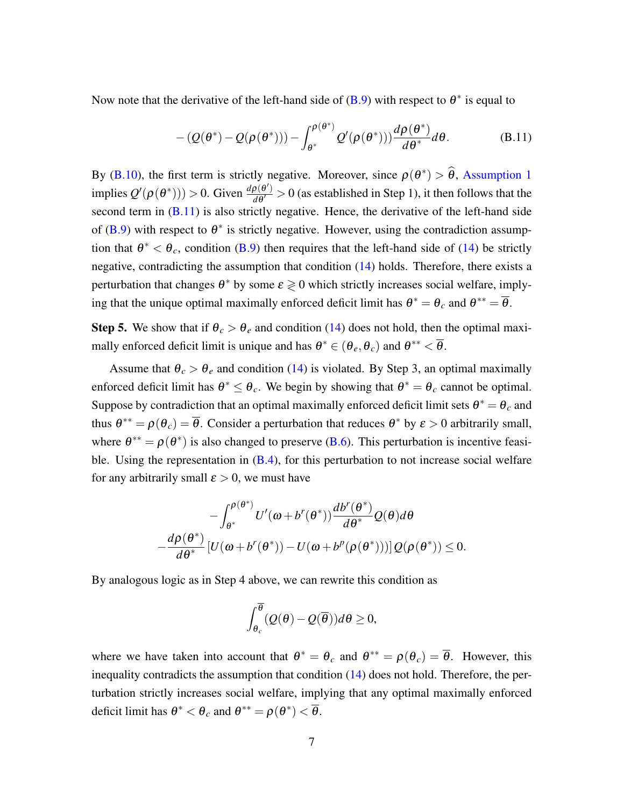Now note that the derivative of the left-hand side of  $(B.9)$  with respect to  $\theta^*$  is equal to

$$
- (Q(\theta^*) - Q(\rho(\theta^*))) - \int_{\theta^*}^{\rho(\theta^*)} Q'(\rho(\theta^*))) \frac{d\rho(\theta^*)}{d\theta^*} d\theta.
$$
 (B.11)

By (B.10), the first term is strictly negative. Moreover, since  $\rho(\theta^*) > \theta$ , Assumption 1 implies  $Q'(\rho(\theta^*))$ ) > 0. Given  $\frac{d\rho(\theta')}{d\theta'}$  > 0 (as established in Step 1), it then follows that the second term in  $(B.11)$  is also strictly negative. Hence, the derivative of the left-hand side of (B.9) with respect to  $\theta^*$  is strictly negative. However, using the contradiction assumption that  $\theta^* < \theta_c$ , condition (B.9) then requires that the left-hand side of (14) be strictly negative, contradicting the assumption that condition (14) holds. Therefore, there exists a perturbation that changes  $\theta^*$  by some  $\varepsilon \geq 0$  which strictly increases social welfare, implying that the unique optimal maximally enforced deficit limit has  $\theta^* = \theta_c$  and  $\theta^{**} = \overline{\theta}$ .

**Step 5.** We show that if  $\theta_c > \theta_e$  and condition (14) does not hold, then the optimal maximally enforced deficit limit is unique and has  $\theta^* \in (\theta_e, \theta_c)$  and  $\theta^{**} < \overline{\theta}$ .

Assume that  $\theta_c > \theta_e$  and condition (14) is violated. By Step 3, an optimal maximally enforced deficit limit has  $\theta^* \leq \theta_c$ . We begin by showing that  $\theta^* = \theta_c$  cannot be optimal. Suppose by contradiction that an optimal maximally enforced deficit limit sets  $\theta^* = \theta_c$  and thus  $\theta^{**} = \rho(\theta_c) = \overline{\theta}$ . Consider a perturbation that reduces  $\theta^*$  by  $\varepsilon > 0$  arbitrarily small, where  $\theta^{**} = \rho(\theta^*)$  is also changed to preserve (B.6). This perturbation is incentive feasible. Using the representation in  $(B.4)$ , for this perturbation to not increase social welfare for any arbitrarily small  $\varepsilon > 0$ , we must have

$$
-\int_{\theta^*}^{\rho(\theta^*)} U'(\omega + b^r(\theta^*)) \frac{db^r(\theta^*)}{d\theta^*} Q(\theta) d\theta
$$
  

$$
-\frac{d\rho(\theta^*)}{d\theta^*} [U(\omega + b^r(\theta^*)) - U(\omega + b^p(\rho(\theta^*)))] Q(\rho(\theta^*)) \le 0.
$$

By analogous logic as in Step 4 above, we can rewrite this condition as

$$
\int_{\theta_c}^{\overline{\theta}} (Q(\theta) - Q(\overline{\theta})) d\theta \ge 0,
$$

where we have taken into account that  $\theta^* = \theta_c$  and  $\theta^{**} = \rho(\theta_c) = \overline{\theta}$ . However, this inequality contradicts the assumption that condition (14) does not hold. Therefore, the perturbation strictly increases social welfare, implying that any optimal maximally enforced deficit limit has  $\theta^* < \theta_c$  and  $\theta^{**} = \rho(\theta^*) < \overline{\theta}$ .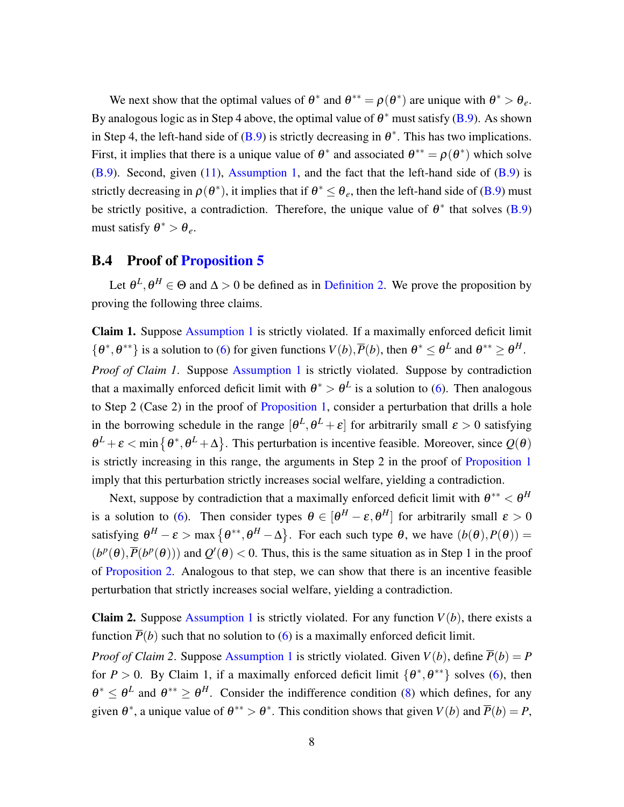We next show that the optimal values of  $\theta^*$  and  $\theta^{**} = \rho(\theta^*)$  are unique with  $\theta^* > \theta_e$ . By analogous logic as in Step 4 above, the optimal value of  $\theta^*$  must satisfy (B.9). As shown in Step 4, the left-hand side of  $(B.9)$  is strictly decreasing in  $\theta^*$ . This has two implications. First, it implies that there is a unique value of  $\theta^*$  and associated  $\theta^{**} = \rho(\theta^*)$  which solve  $(B.9)$ . Second, given  $(11)$ , Assumption 1, and the fact that the left-hand side of  $(B.9)$  is strictly decreasing in  $\rho(\theta^*)$ , it implies that if  $\theta^* < \theta_e$ , then the left-hand side of (B.9) must be strictly positive, a contradiction. Therefore, the unique value of  $\theta^*$  that solves (B.9) must satisfy  $\theta^* > \theta_e$ .

### B.4 Proof of Proposition 5

Let  $\theta^L$ ,  $\theta^H \in \Theta$  and  $\Delta > 0$  be defined as in Definition 2. We prove the proposition by proving the following three claims.

Claim 1. Suppose Assumption 1 is strictly violated. If a maximally enforced deficit limit  $\{\theta^*, \theta^{**}\}\$ is a solution to (6) for given functions  $V(b), \overline{P}(b)$ , then  $\theta^* \leq \theta^L$  and  $\theta^{**} \geq \theta^H$ . *Proof of Claim 1.* Suppose Assumption 1 is strictly violated. Suppose by contradiction that a maximally enforced deficit limit with  $\theta^* > \theta^L$  is a solution to (6). Then analogous to Step 2 (Case 2) in the proof of Proposition 1, consider a perturbation that drills a hole in the borrowing schedule in the range  $[\theta^L, \theta^L + \varepsilon]$  for arbitrarily small  $\varepsilon > 0$  satisfying  $\theta^L + \varepsilon$  < min { $\theta^*, \theta^L + \Delta$ }. This perturbation is incentive feasible. Moreover, since  $Q(\theta)$ is strictly increasing in this range, the arguments in Step 2 in the proof of Proposition 1 imply that this perturbation strictly increases social welfare, yielding a contradiction.

Next, suppose by contradiction that a maximally enforced deficit limit with  $\theta^{**} < \theta^H$ is a solution to (6). Then consider types  $\theta \in [\theta^H - \varepsilon, \theta^H]$  for arbitrarily small  $\varepsilon > 0$ satisfying  $\theta^H - \varepsilon > \max{\theta^{**}, \theta^H - \Delta}$ . For each such type  $\theta$ , we have  $(b(\theta), P(\theta)) =$  $(b^p(\theta), \overline{P}(b^p(\theta)))$  and  $Q'(\theta) < 0$ . Thus, this is the same situation as in Step 1 in the proof of Proposition 2. Analogous to that step, we can show that there is an incentive feasible perturbation that strictly increases social welfare, yielding a contradiction.

**Claim 2.** Suppose Assumption 1 is strictly violated. For any function  $V(b)$ , there exists a function  $\overline{P}(b)$  such that no solution to (6) is a maximally enforced deficit limit.

*Proof of Claim 2.* Suppose Assumption 1 is strictly violated. Given  $V(b)$ , define  $\overline{P}(b) = P$ for *P* > 0. By Claim 1, if a maximally enforced deficit limit  $\{\theta^*, \theta^{**}\}\$  solves (6), then  $\theta^* \leq \theta^L$  and  $\theta^{**} > \theta^H$ . Consider the indifference condition (8) which defines, for any given  $\theta^*$ , a unique value of  $\theta^{**} > \theta^*$ . This condition shows that given  $V(b)$  and  $\overline{P}(b) = P$ ,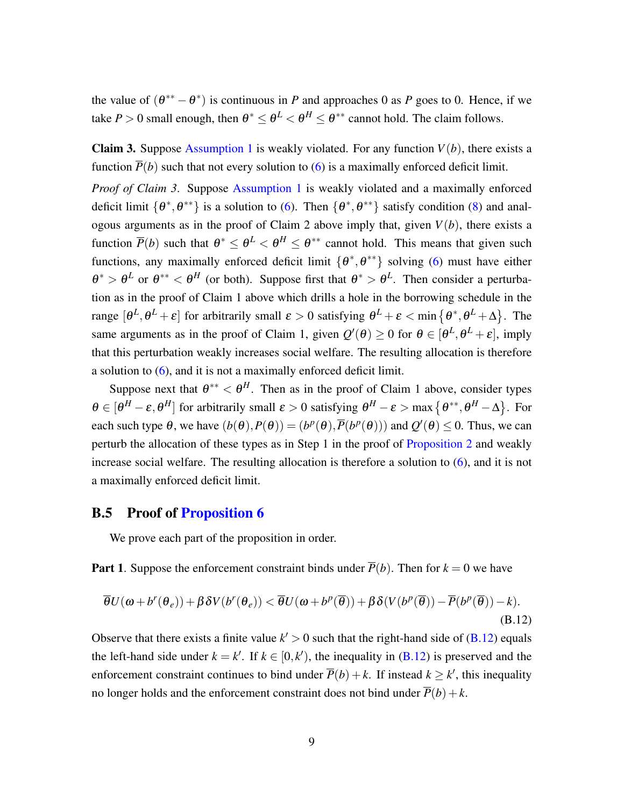the value of  $(\theta^{**} - \theta^*)$  is continuous in *P* and approaches 0 as *P* goes to 0. Hence, if we take *P* > 0 small enough, then  $\theta^* \leq \theta^L < \theta^H \leq \theta^{**}$  cannot hold. The claim follows.

**Claim 3.** Suppose Assumption 1 is weakly violated. For any function  $V(b)$ , there exists a function  $\overline{P}(b)$  such that not every solution to (6) is a maximally enforced deficit limit.

*Proof of Claim 3*. Suppose Assumption 1 is weakly violated and a maximally enforced deficit limit  $\{\theta^*, \theta^{**}\}$  is a solution to (6). Then  $\{\theta^*, \theta^{**}\}$  satisfy condition (8) and analogous arguments as in the proof of Claim 2 above imply that, given  $V(b)$ , there exists a function  $\overline{P}(b)$  such that  $\theta^* \leq \theta^L < \theta^H \leq \theta^{**}$  cannot hold. This means that given such functions, any maximally enforced deficit limit  $\{\theta^*, \theta^{**}\}$  solving (6) must have either  $\theta^* > \theta^L$  or  $\theta^{**} < \theta^H$  (or both). Suppose first that  $\theta^* > \theta^L$ . Then consider a perturbation as in the proof of Claim 1 above which drills a hole in the borrowing schedule in the range  $[\theta^L, \theta^L + \varepsilon]$  for arbitrarily small  $\varepsilon > 0$  satisfying  $\theta^L + \varepsilon < \min{\{\theta^*, \theta^L + \Delta\}}$ . The same arguments as in the proof of Claim 1, given  $Q'(\theta) \ge 0$  for  $\theta \in [\theta^L, \theta^L + \varepsilon]$ , imply that this perturbation weakly increases social welfare. The resulting allocation is therefore a solution to (6), and it is not a maximally enforced deficit limit.

Suppose next that  $\theta^{**} < \theta^H$ . Then as in the proof of Claim 1 above, consider types  $\theta \in [\theta^H - \varepsilon, \theta^H]$  for arbitrarily small  $\varepsilon > 0$  satisfying  $\theta^H - \varepsilon > \max{\{\theta^{**}, \theta^H - \Delta\}}$ . For each such type  $\theta$ , we have  $(b(\theta), P(\theta)) = (b^p(\theta), \overline{P}(b^p(\theta)))$  and  $Q'(\theta) \le 0$ . Thus, we can perturb the allocation of these types as in Step 1 in the proof of Proposition 2 and weakly increase social welfare. The resulting allocation is therefore a solution to (6), and it is not a maximally enforced deficit limit.

### B.5 Proof of Proposition 6

We prove each part of the proposition in order.

**Part 1.** Suppose the enforcement constraint binds under  $\overline{P}(b)$ . Then for  $k = 0$  we have

$$
\overline{\theta}U(\omega + b^r(\theta_e)) + \beta \delta V(b^r(\theta_e)) < \overline{\theta}U(\omega + b^p(\overline{\theta})) + \beta \delta (V(b^p(\overline{\theta})) - \overline{P}(b^p(\overline{\theta})) - k). \tag{B.12}
$$

Observe that there exists a finite value  $k' > 0$  such that the right-hand side of (B.12) equals the left-hand side under  $k = k'$ . If  $k \in [0, k')$ , the inequality in (B.12) is preserved and the enforcement constraint continues to bind under  $\overline{P}(b) + k$ . If instead  $k \geq k'$ , this inequality no longer holds and the enforcement constraint does not bind under  $\overline{P}(b) + k$ .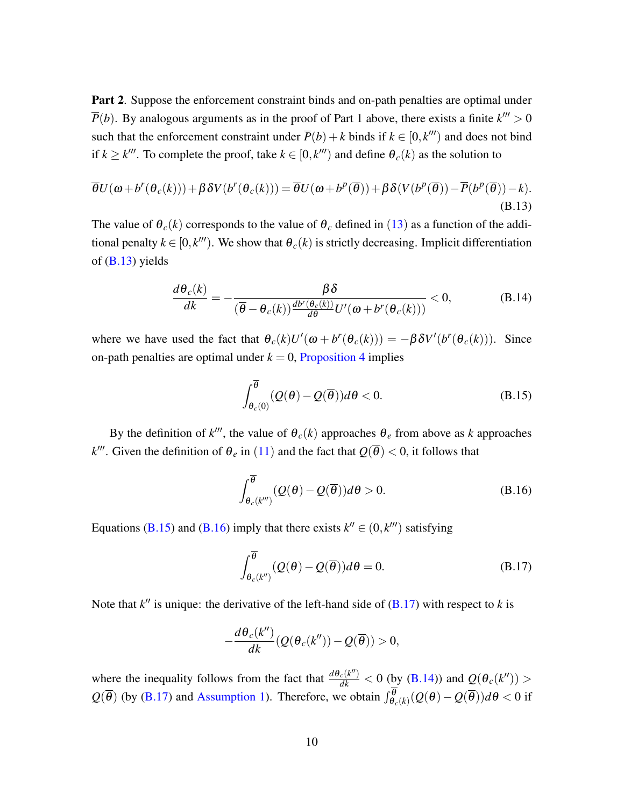Part 2. Suppose the enforcement constraint binds and on-path penalties are optimal under  $\overline{P}(b)$ . By analogous arguments as in the proof of Part 1 above, there exists a finite  $k^{\prime\prime\prime} > 0$ such that the enforcement constraint under  $\overline{P}(b) + k$  binds if  $k \in [0, k^{\prime\prime\prime})$  and does not bind if  $k \geq k^{\prime\prime\prime}$ . To complete the proof, take  $k \in [0, k^{\prime\prime\prime})$  and define  $\theta_c(k)$  as the solution to

$$
\overline{\theta}U(\omega + b^r(\theta_c(k))) + \beta \delta V(b^r(\theta_c(k))) = \overline{\theta}U(\omega + b^p(\overline{\theta})) + \beta \delta (V(b^p(\overline{\theta})) - \overline{P}(b^p(\overline{\theta})) - k).
$$
\n(B.13)

The value of  $\theta_c(k)$  corresponds to the value of  $\theta_c$  defined in (13) as a function of the additional penalty  $k \in [0, k^{\prime\prime\prime}]$ . We show that  $\theta_c(k)$  is strictly decreasing. Implicit differentiation of  $(B.13)$  yields

$$
\frac{d\theta_c(k)}{dk} = -\frac{\beta \delta}{(\overline{\theta} - \theta_c(k))\frac{db^r(\theta_c(k))}{d\theta}U'(\omega + b^r(\theta_c(k)))} < 0,
$$
\n(B.14)

where we have used the fact that  $\theta_c(k)U'(\omega + b^r(\theta_c(k))) = -\beta \delta V'(b^r(\theta_c(k)))$ . Since on-path penalties are optimal under  $k = 0$ , Proposition 4 implies

$$
\int_{\theta_c(0)}^{\overline{\theta}} (\mathcal{Q}(\theta) - \mathcal{Q}(\overline{\theta})) d\theta < 0. \tag{B.15}
$$

By the definition of  $k^{\prime\prime\prime}$ , the value of  $\theta_c(k)$  approaches  $\theta_e$  from above as *k* approaches *k*<sup>*m*</sup>. Given the definition of  $\theta_e$  in (11) and the fact that  $Q(\overline{\theta}) < 0$ , it follows that

$$
\int_{\theta_c(k''')}^{\overline{\theta}} (Q(\theta) - Q(\overline{\theta})) d\theta > 0.
$$
 (B.16)

Equations (B.15) and (B.16) imply that there exists  $k'' \in (0, k''')$  satisfying

$$
\int_{\theta_c(k'')}^{\overline{\theta}} (Q(\theta) - Q(\overline{\theta})) d\theta = 0.
$$
 (B.17)

Note that  $k''$  is unique: the derivative of the left-hand side of  $(B.17)$  with respect to *k* is

$$
-\frac{d\theta_c(k'')}{dk}(Q(\theta_c(k''))-Q(\overline{\theta}))>0,
$$

where the inequality follows from the fact that  $\frac{d\theta_c(k'')}{dk} < 0$  (by (B.14)) and  $Q(\theta_c(k''))$  >  $Q(\overline{\theta})$  (by (B.17) and Assumption 1). Therefore, we obtain  $\int_{\theta_c(k)}^{\theta} (Q(\theta) - Q(\overline{\theta})) d\theta < 0$  if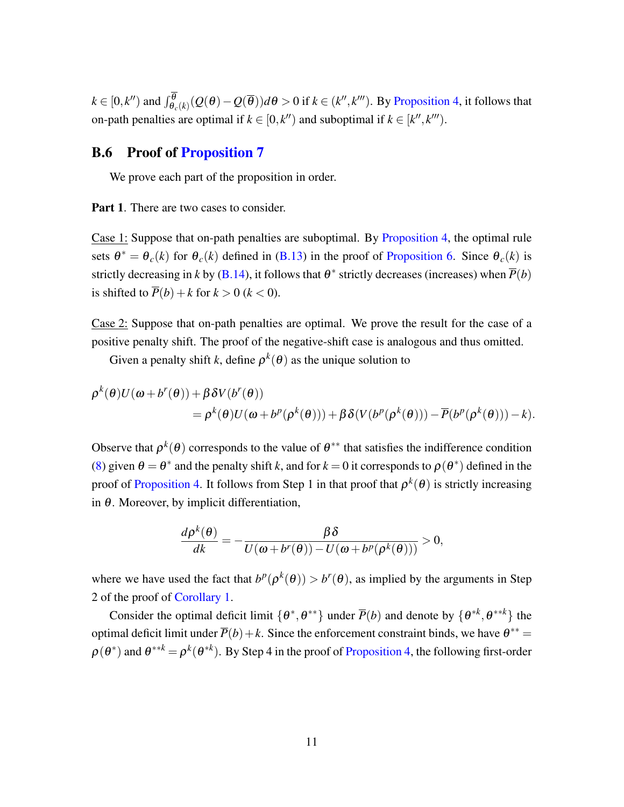$k\in [0,k'')$  and  $\int_{\theta_c(k)}^{\theta} (Q(\theta)-Q(\overline{\theta}))d\theta>0$  if  $k\in (k'',k''')$ . By Proposition 4, it follows that on-path penalties are optimal if  $k \in [0, k^n)$  and suboptimal if  $k \in [k^n, k^m)$ .

## B.6 Proof of Proposition 7

We prove each part of the proposition in order.

Part 1. There are two cases to consider.

Case 1: Suppose that on-path penalties are suboptimal. By Proposition 4, the optimal rule sets  $\theta^* = \theta_c(k)$  for  $\theta_c(k)$  defined in (B.13) in the proof of Proposition 6. Since  $\theta_c(k)$  is strictly decreasing in *k* by (B.14), it follows that  $\theta^*$  strictly decreases (increases) when  $\overline{P}(b)$ is shifted to  $\overline{P}(b) + k$  for  $k > 0$  ( $k < 0$ ).

Case 2: Suppose that on-path penalties are optimal. We prove the result for the case of a positive penalty shift. The proof of the negative-shift case is analogous and thus omitted.

Given a penalty shift *k*, define  $\rho^k(\theta)$  as the unique solution to

$$
\rho^{k}(\theta)U(\omega + b^{r}(\theta)) + \beta \delta V(b^{r}(\theta))
$$
  
=  $\rho^{k}(\theta)U(\omega + b^{p}(\rho^{k}(\theta))) + \beta \delta(V(b^{p}(\rho^{k}(\theta))) - \overline{P}(b^{p}(\rho^{k}(\theta))) - k).$ 

Observe that  $\rho^k(\theta)$  corresponds to the value of  $\theta^{**}$  that satisfies the indifference condition (8) given  $\theta = \theta^*$  and the penalty shift k, and for  $k = 0$  it corresponds to  $\rho(\theta^*)$  defined in the proof of Proposition 4. It follows from Step 1 in that proof that  $\rho^k(\theta)$  is strictly increasing in  $\theta$ . Moreover, by implicit differentiation,

$$
\frac{d\rho^k(\theta)}{dk} = -\frac{\beta\delta}{U(\omega + b^r(\theta)) - U(\omega + b^p(\rho^k(\theta)))} > 0,
$$

where we have used the fact that  $b^p(\rho^k(\theta)) > b^r(\theta)$ , as implied by the arguments in Step 2 of the proof of Corollary 1.

Consider the optimal deficit limit  $\{\theta^*, \theta^{**}\}$  under  $\overline{P}(b)$  and denote by  $\{\theta^{*k}, \theta^{**k}\}$  the optimal deficit limit under  $\overline{P}(b) + k$ . Since the enforcement constraint binds, we have  $\theta^{**} =$  $\rho(\theta^*)$  and  $\theta^{**k} = \rho^k(\theta^{*k})$ . By Step 4 in the proof of Proposition 4, the following first-order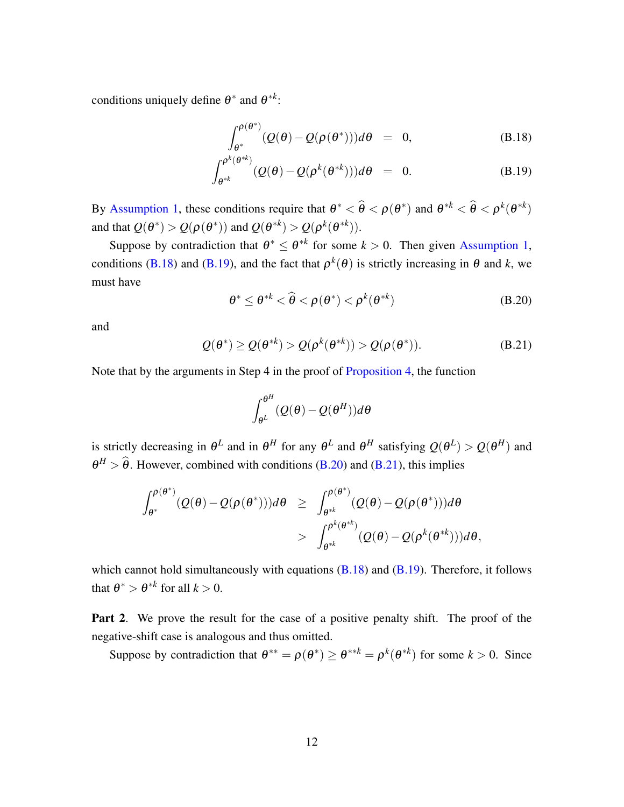conditions uniquely define  $\theta^*$  and  $\theta^{*k}$ :

$$
\int_{\theta^*}^{\rho(\theta^*)} (Q(\theta) - Q(\rho(\theta^*))) d\theta = 0, \qquad (B.18)
$$

$$
\int_{\theta^{*k}}^{\rho^k(\theta^{*k})} (Q(\theta) - Q(\rho^k(\theta^{*k})))d\theta = 0.
$$
 (B.19)

By Assumption 1, these conditions require that  $\theta^* < \hat{\theta} < \rho(\theta^*)$  and  $\theta^{*k} < \hat{\theta} < \rho^k(\theta^{*k})$ and that  $Q(\theta^*) > Q(\rho(\theta^*))$  and  $Q(\theta^{*k}) > Q(\rho^k(\theta^{*k}))$ .

Suppose by contradiction that  $\theta^* \leq \theta^{*k}$  for some  $k > 0$ . Then given Assumption 1, conditions (B.18) and (B.19), and the fact that  $\rho^{k}(\theta)$  is strictly increasing in  $\theta$  and *k*, we must have

$$
\theta^* \le \theta^{*k} < \widehat{\theta} < \rho(\theta^*) < \rho^k(\theta^{*k}) \tag{B.20}
$$

and

$$
Q(\theta^*) \ge Q(\theta^{*k}) > Q(\rho^k(\theta^{*k})) > Q(\rho(\theta^*)).
$$
 (B.21)

Note that by the arguments in Step 4 in the proof of Proposition 4, the function

$$
\int_{\theta^L}^{\theta^H} (Q(\theta) - Q(\theta^H)) d\theta
$$

is strictly decreasing in  $\theta^L$  and in  $\theta^H$  for any  $\theta^L$  and  $\theta^H$  satisfying  $Q(\theta^L) > Q(\theta^H)$  and  $\theta^H > \hat{\theta}$ . However, combined with conditions (B.20) and (B.21), this implies

$$
\begin{array}{lcl} \displaystyle \int_{\theta^*}^{\rho(\theta^*)}(Q(\theta)-Q(\rho(\theta^*)))d\theta & \geq & \displaystyle \int_{\theta^{*k}}^{\rho(\theta^*)}(Q(\theta)-Q(\rho(\theta^*)))d\theta \\ \\ & > & \displaystyle \int_{\theta^{*k}}^{\rho^k(\theta^{*k})}(Q(\theta)-Q(\rho^k(\theta^{*k})))d\theta, \end{array}
$$

which cannot hold simultaneously with equations  $(B.18)$  and  $(B.19)$ . Therefore, it follows that  $\theta^* > \theta^{*k}$  for all  $k > 0$ .

Part 2. We prove the result for the case of a positive penalty shift. The proof of the negative-shift case is analogous and thus omitted.

Suppose by contradiction that  $\theta^{**} = \rho(\theta^*) \ge \theta^{**k} = \rho^k(\theta^{*k})$  for some  $k > 0$ . Since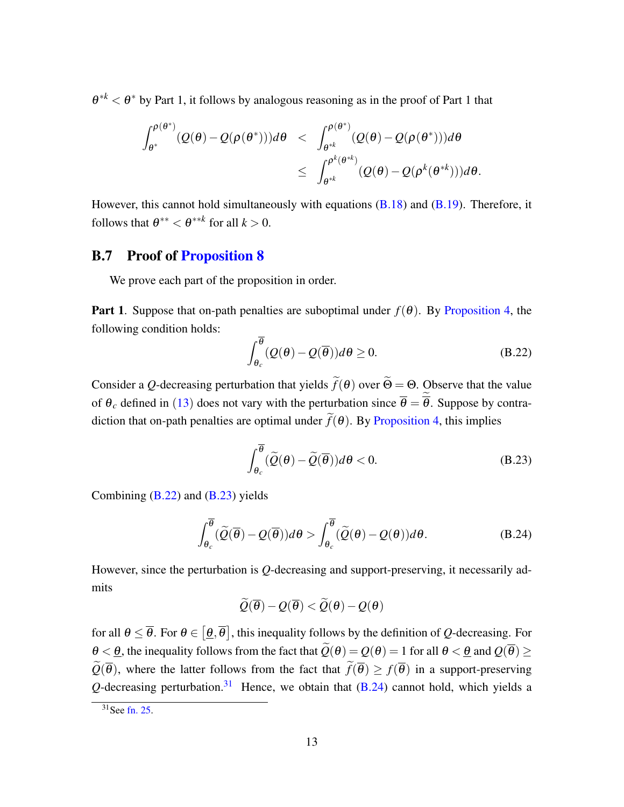$\theta^{*k} < \theta^*$  by Part 1, it follows by analogous reasoning as in the proof of Part 1 that

$$
\begin{array}{lcl} \displaystyle \int_{\theta^*}^{\rho(\theta^*)}(Q(\theta)-Q(\rho(\theta^*)))d\theta & < & \displaystyle \int_{\theta^{*k}}^{\rho(\theta^*)}(Q(\theta)-Q(\rho(\theta^*)))d\theta \\ \\ & \leq & \displaystyle \int_{\theta^{*k}}^{\rho^k(\theta^{*k})}(Q(\theta)-Q(\rho^k(\theta^{*k})))d\theta. \end{array}
$$

However, this cannot hold simultaneously with equations (B.18) and (B.19). Therefore, it follows that  $\theta^{**} < \theta^{**k}$  for all  $k > 0$ .

### B.7 Proof of Proposition 8

We prove each part of the proposition in order.

**Part 1.** Suppose that on-path penalties are suboptimal under  $f(\theta)$ . By Proposition 4, the following condition holds:

$$
\int_{\theta_c}^{\overline{\theta}} (Q(\theta) - Q(\overline{\theta})) d\theta \ge 0.
$$
 (B.22)

Consider a *Q*-decreasing perturbation that yields  $f(\theta)$  over  $\Theta = \Theta$ . Observe that the value of  $\theta_c$  defined in (13) does not vary with the perturbation since  $\theta = \theta$ . Suppose by contradiction that on-path penalties are optimal under  $f(\theta)$ . By Proposition 4, this implies

$$
\int_{\theta_c}^{\overline{\theta}} (\widetilde{Q}(\theta) - \widetilde{Q}(\overline{\theta})) d\theta < 0.
$$
 (B.23)

Combining  $(B.22)$  and  $(B.23)$  yields

$$
\int_{\theta_c}^{\overline{\theta}} (\widetilde{Q}(\overline{\theta}) - Q(\overline{\theta})) d\theta > \int_{\theta_c}^{\overline{\theta}} (\widetilde{Q}(\theta) - Q(\theta)) d\theta.
$$
 (B.24)

However, since the perturbation is *Q*-decreasing and support-preserving, it necessarily admits

$$
\widetilde{Q}(\overline{\boldsymbol{\theta}}) - Q(\overline{\boldsymbol{\theta}}) < \widetilde{Q}(\boldsymbol{\theta}) - Q(\boldsymbol{\theta})
$$

for all  $\theta \leq \overline{\theta}$ . For  $\theta \in [\underline{\theta}, \overline{\theta}]$ , this inequality follows by the definition of *Q*-decreasing. For  $\theta < \theta$ , the inequality follows from the fact that  $\widetilde{Q}(\theta) = Q(\theta) = 1$  for all  $\theta < \theta$  and  $Q(\overline{\theta}) \ge$  $Q(\theta)$ , where the latter follows from the fact that  $f(\theta) \ge f(\theta)$  in a support-preserving  $Q$ -decreasing perturbation.<sup>31</sup> Hence, we obtain that  $(B.24)$  cannot hold, which yields a

 $31$ See fn. 25.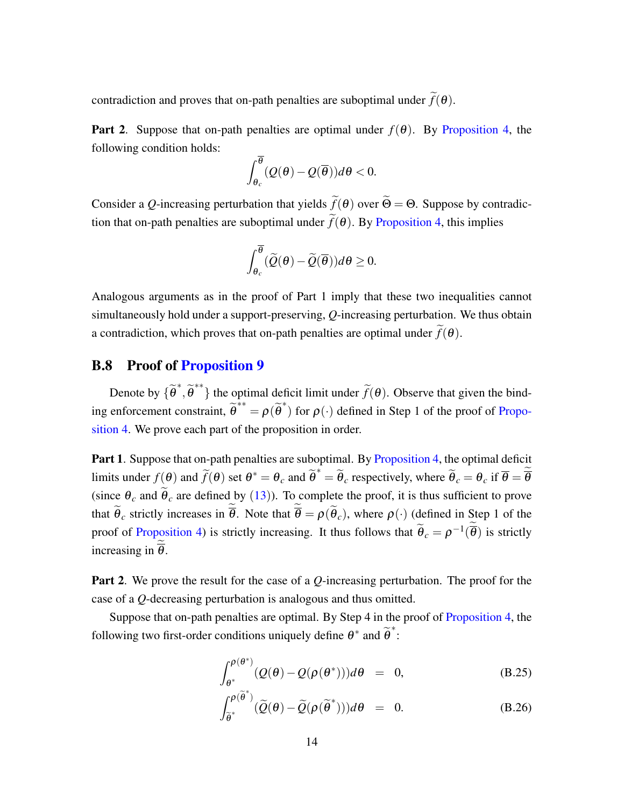contradiction and proves that on-path penalties are suboptimal under  $f(\theta)$ .

**Part 2.** Suppose that on-path penalties are optimal under  $f(\theta)$ . By Proposition 4, the following condition holds:

$$
\int_{\theta_c}^{\overline{\theta}} (Q(\theta)-Q(\overline{\theta}))d\theta < 0.
$$

Consider a *Q*-increasing perturbation that yields  $f(\theta)$  over  $\Theta = \Theta$ . Suppose by contradiction that on-path penalties are suboptimal under  $f(\theta)$ . By Proposition 4, this implies

$$
\int_{\theta_c}^{\overline{\theta}} (\widetilde{\mathcal{Q}}(\theta) - \widetilde{\mathcal{Q}}(\overline{\theta})) d\theta \ge 0.
$$

Analogous arguments as in the proof of Part 1 imply that these two inequalities cannot simultaneously hold under a support-preserving, *Q*-increasing perturbation. We thus obtain a contradiction, which proves that on-path penalties are optimal under  $f(\theta)$ .

# B.8 Proof of Proposition 9

Denote by  $\{\tilde{\theta}^*, \tilde{\theta}^{**}\}$  the optimal deficit limit under  $\tilde{f}(\theta)$ . Observe that given the binding enforcement constraint,  $\tilde{\theta}^{**} = \rho(\tilde{\theta}^*)$  for  $\rho(\cdot)$  defined in Step 1 of the proof of Proposition 4. We prove each part of the proposition in order.

Part 1. Suppose that on-path penalties are suboptimal. By Proposition 4, the optimal deficit limits under  $f(\theta)$  and  $\tilde{f}(\theta)$  set  $\theta^* = \theta_c$  and  $\tilde{\theta}^* = \tilde{\theta}_c$  respectively, where  $\tilde{\theta}_c = \theta_c$  if  $\overline{\theta} = \overline{\theta}$ (since  $\theta_c$  and  $\theta_c$  are defined by (13)). To complete the proof, it is thus sufficient to prove that  $\theta_c$  strictly increases in  $\theta$ . Note that  $\theta = \rho(\theta_c)$ , where  $\rho(\cdot)$  (defined in Step 1 of the proof of Proposition 4) is strictly increasing. It thus follows that  $\tilde{\theta}_c = \rho^{-1}(\overline{\theta})$  is strictly increasing in  $\theta$ .

Part 2. We prove the result for the case of a *Q*-increasing perturbation. The proof for the case of a *Q*-decreasing perturbation is analogous and thus omitted.

Suppose that on-path penalties are optimal. By Step 4 in the proof of Proposition 4, the following two first-order conditions uniquely define  $\theta^*$  and  $\widetilde{\theta}^*$ :

$$
\int_{\theta^*}^{\rho(\theta^*)} (Q(\theta) - Q(\rho(\theta^*))) d\theta = 0, \tag{B.25}
$$

$$
\int_{\tilde{\theta}^*}^{\rho(\tilde{\theta}^*)} (\tilde{Q}(\theta) - \tilde{Q}(\rho(\tilde{\theta}^*))) d\theta = 0.
$$
 (B.26)